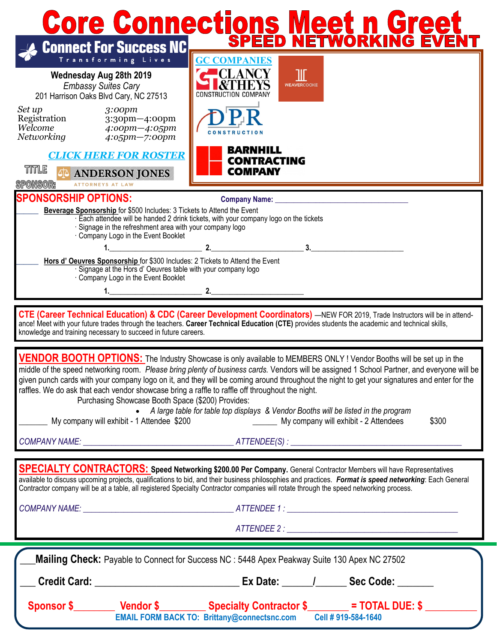| <b>Core Connections Meet n Greet</b>                                                                                                                                                                                                                                                                                                                                                                                                                                                                                                                                      |                                                                                                                                                                                   |
|---------------------------------------------------------------------------------------------------------------------------------------------------------------------------------------------------------------------------------------------------------------------------------------------------------------------------------------------------------------------------------------------------------------------------------------------------------------------------------------------------------------------------------------------------------------------------|-----------------------------------------------------------------------------------------------------------------------------------------------------------------------------------|
| <b>Connect For Success NC</b>                                                                                                                                                                                                                                                                                                                                                                                                                                                                                                                                             |                                                                                                                                                                                   |
| Transforming Lives                                                                                                                                                                                                                                                                                                                                                                                                                                                                                                                                                        | <b>GC COMPANIES</b>                                                                                                                                                               |
| Wednesday Aug 28th 2019<br><b>Embassy Suites Cary</b><br>201 Harrison Oaks Blvd Cary, NC 27513                                                                                                                                                                                                                                                                                                                                                                                                                                                                            | 111<br><b>WEAVERCOOKE</b><br>CONSTRUCTION COMPANY                                                                                                                                 |
| Set up<br>3:00 <sub>pm</sub><br>Registration<br>3:30pm-4:00pm<br>Welcome<br>$4:00$ pm $-4:05$ pm<br>Networking 4:05pm-7:00pm                                                                                                                                                                                                                                                                                                                                                                                                                                              | <b>CONSTRUCTION</b>                                                                                                                                                               |
| <b>CLICK HERE FOR ROSTER</b>                                                                                                                                                                                                                                                                                                                                                                                                                                                                                                                                              | <b>BARNHILL</b><br><b>CONTRACTING</b>                                                                                                                                             |
| TITLE<br><b>ANDERSON JONES</b><br><b>SPONSOR:</b><br><b>ATTORNEYS AT LAW</b>                                                                                                                                                                                                                                                                                                                                                                                                                                                                                              | <b>COMPANY</b>                                                                                                                                                                    |
| <b>SPONSORSHIP OPTIONS:</b><br>Company Name: Name: Name of Section 1989                                                                                                                                                                                                                                                                                                                                                                                                                                                                                                   |                                                                                                                                                                                   |
| Beverage Sponsorship for \$500 Includes: 3 Tickets to Attend the Event<br>Each attendee will be handed 2 drink tickets, with your company logo on the tickets<br>· Signage in the refreshment area with your company logo<br>Company Logo in the Event Booklet                                                                                                                                                                                                                                                                                                            |                                                                                                                                                                                   |
|                                                                                                                                                                                                                                                                                                                                                                                                                                                                                                                                                                           | 2. $\qquad$                                                                                                                                                                       |
| Hors d' Oeuvres Sponsorship for \$300 Includes: 2 Tickets to Attend the Event<br>· Signage at the Hors d' Oeuvres table with your company logo<br>Company Logo in the Event Booklet                                                                                                                                                                                                                                                                                                                                                                                       |                                                                                                                                                                                   |
|                                                                                                                                                                                                                                                                                                                                                                                                                                                                                                                                                                           |                                                                                                                                                                                   |
| <b>CTE (Career Technical Education) &amp; CDC (Career Development Coordinators)</b> —NEW FOR 2019, Trade Instructors will be in attend-<br>ance! Meet with your future trades through the teachers. Career Technical Education (CTE) provides students the academic and technical skills,<br>knowledge and training necessary to succeed in future careers.                                                                                                                                                                                                               |                                                                                                                                                                                   |
| VENDOR BOOTH OPTIONS: The Industry Showcase is only available to MEMBERS ONLY! Vendor Booths will be set up in the<br>middle of the speed networking room. Please bring plenty of business cards. Vendors will be assigned 1 School Partner, and everyone will be<br>given punch cards with your company logo on it, and they will be coming around throughout the night to get your signatures and enter for the<br>raffles. We do ask that each vendor showcase bring a raffle to raffle off throughout the night.<br>Purchasing Showcase Booth Space (\$200) Provides: |                                                                                                                                                                                   |
|                                                                                                                                                                                                                                                                                                                                                                                                                                                                                                                                                                           | • A large table for table top displays & Vendor Booths will be listed in the program<br>My company will exhibit - 1 Attendee \$200 My company will exhibit - 2 Attendees<br>\$300 |
|                                                                                                                                                                                                                                                                                                                                                                                                                                                                                                                                                                           |                                                                                                                                                                                   |
|                                                                                                                                                                                                                                                                                                                                                                                                                                                                                                                                                                           |                                                                                                                                                                                   |
| <b>SPECIALTY CONTRACTORS:</b> Speed Networking \$200.00 Per Company. General Contractor Members will have Representatives<br>available to discuss upcoming projects, qualifications to bid, and their business philosophies and practices. Format is speed networking: Each General<br>Contractor company will be at a table, all registered Specialty Contractor companies will rotate through the speed networking process.                                                                                                                                             |                                                                                                                                                                                   |
|                                                                                                                                                                                                                                                                                                                                                                                                                                                                                                                                                                           |                                                                                                                                                                                   |
|                                                                                                                                                                                                                                                                                                                                                                                                                                                                                                                                                                           |                                                                                                                                                                                   |
|                                                                                                                                                                                                                                                                                                                                                                                                                                                                                                                                                                           |                                                                                                                                                                                   |
| Mailing Check: Payable to Connect for Success NC : 5448 Apex Peakway Suite 130 Apex NC 27502                                                                                                                                                                                                                                                                                                                                                                                                                                                                              |                                                                                                                                                                                   |
|                                                                                                                                                                                                                                                                                                                                                                                                                                                                                                                                                                           |                                                                                                                                                                                   |
|                                                                                                                                                                                                                                                                                                                                                                                                                                                                                                                                                                           | <b>EMAIL FORM BACK TO: Brittany@connectsnc.com</b><br>Cell #919-584-1640                                                                                                          |
|                                                                                                                                                                                                                                                                                                                                                                                                                                                                                                                                                                           |                                                                                                                                                                                   |